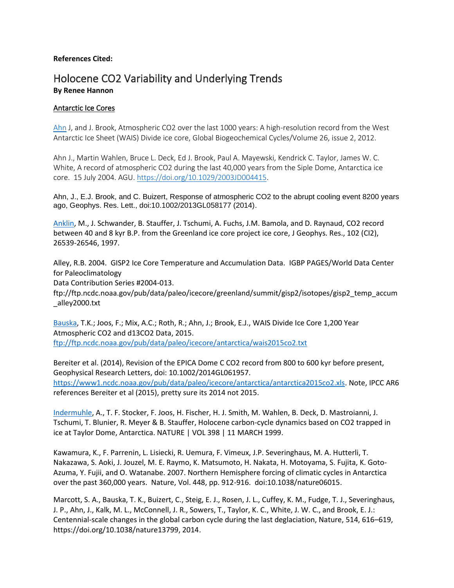# **References Cited:**

# Holocene CO2 Variability and Underlying Trends **By Renee Hannon**

# Antarctic Ice Cores

[Ahn](https://agupubs.onlinelibrary.wiley.com/doi/full/10.1029/2011GB004247) J, and J. Brook, Atmospheric CO2 over the last 1000 years: A high-resolution record from the West Antarctic Ice Sheet (WAIS) Divide ice core, Global Biogeochemical Cycles/Volume 26, issue 2, 2012.

Ahn J., Martin Wahlen, Bruce L. Deck, Ed J. Brook, Paul A. Mayewski, Kendrick C. Taylor, James W. C. White, A record of atmospheric CO2 during the last 40,000 years from the Siple Dome, Antarctica ice core. 15 July 2004. AGU. [https://doi.org/10.1029/2003JD004415.](https://doi.org/10.1029/2003JD004415)

Ahn, J., E.J. Brook, and C. Buizert, Response of atmospheric CO2 to the abrupt cooling event 8200 years ago, Geophys. Res. Lett., doi:10.1002/2013GL058177 (2014).

[Anklin,](https://agupubs.onlinelibrary.wiley.com/doi/abs/10.1029/97JC00182) M., J. Schwander, B. Stauffer, J. Tschumi, A. Fuchs, J.M. Bamola, and D. Raynaud, CO2 record between 40 and 8 kyr B.P. from the Greenland ice core project ice core, J Geophys. Res., 102 (CI2), 26539-26546, 1997.

Alley, R.B. 2004. GISP2 Ice Core Temperature and Accumulation Data. IGBP PAGES/World Data Center for Paleoclimatology

Data Contribution Series #2004-013.

ftp://ftp.ncdc.noaa.gov/pub/data/paleo/icecore/greenland/summit/gisp2/isotopes/gisp2\_temp\_accum \_alley2000.txt

[Bauska,](ftp://ftp.ncdc.noaa.gov/pub/data/paleo/icecore/antarctica/wais2015co2.txt) T.K.; Joos, F.; Mix, A.C.; Roth, R.; Ahn, J.; Brook, E.J., WAIS Divide Ice Core 1,200 Year Atmospheric CO2 and d13CO2 Data, 2015. <ftp://ftp.ncdc.noaa.gov/pub/data/paleo/icecore/antarctica/wais2015co2.txt>

Bereiter et al. (2014), Revision of the EPICA Dome C CO2 record from 800 to 600 kyr before present, Geophysical Research Letters, doi: 10.1002/2014GL061957. [https://www1.ncdc.noaa.gov/pub/data/paleo/icecore/antarctica/antarctica2015co2.xls.](https://www1.ncdc.noaa.gov/pub/data/paleo/icecore/antarctica/antarctica2015co2.xls) Note, IPCC AR6 references Bereiter et al (2015), pretty sure its 2014 not 2015.

[Indermuhle,](https://sci-hubtw.hkvisa.net/10.1038/18158) A., T. F. Stocker, F. Joos, H. Fischer, H. J. Smith, M. Wahlen, B. Deck, D. Mastroianni, J. Tschumi, T. Blunier, R. Meyer & B. Stauffer, Holocene carbon-cycle dynamics based on CO2 trapped in ice at Taylor Dome, Antarctica. NATURE | VOL 398 | 11 MARCH 1999.

Kawamura, K., F. Parrenin, L. Lisiecki, R. Uemura, F. Vimeux, J.P. Severinghaus, M. A. Hutterli, T. Nakazawa, S. Aoki, J. Jouzel, M. E. Raymo, K. Matsumoto, H. Nakata, H. Motoyama, S. Fujita, K. Goto-Azuma, Y. Fujii, and O. Watanabe. 2007. Northern Hemisphere forcing of climatic cycles in Antarctica over the past 360,000 years. Nature, Vol. 448, pp. 912-916. doi:10.1038/nature06015.

Marcott, S. A., Bauska, T. K., Buizert, C., Steig, E. J., Rosen, J. L., Cuffey, K. M., Fudge, T. J., Severinghaus, J. P., Ahn, J., Kalk, M. L., McConnell, J. R., Sowers, T., Taylor, K. C., White, J. W. C., and Brook, E. J.: Centennial-scale changes in the global carbon cycle during the last deglaciation, Nature, 514, 616–619, https://doi.org/10.1038/nature13799, 2014.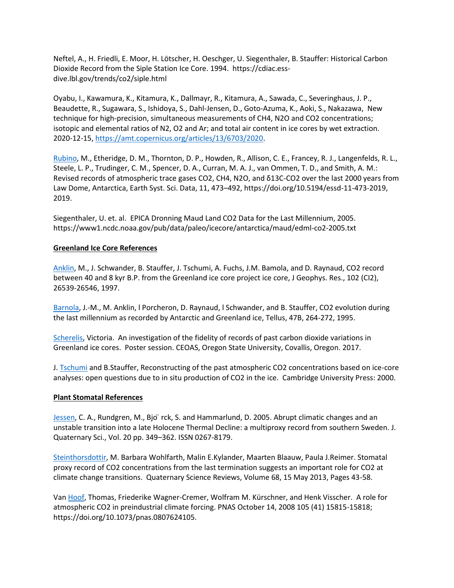Neftel, A., H. Friedli, E. Moor, H. Lötscher, H. Oeschger, U. Siegenthaler, B. Stauffer: Historical Carbon Dioxide Record from the Siple Station Ice Core. 1994. https://cdiac.essdive.lbl.gov/trends/co2/siple.html

Oyabu, I., Kawamura, K., Kitamura, K., Dallmayr, R., Kitamura, A., Sawada, C., Severinghaus, J. P., Beaudette, R., Sugawara, S., Ishidoya, S., Dahl-Jensen, D., Goto-Azuma, K., Aoki, S., Nakazawa, New technique for high-precision, simultaneous measurements of CH4, N2O and CO2 concentrations; isotopic and elemental ratios of N2, O2 and Ar; and total air content in ice cores by wet extraction. 2020-12-15[, https://amt.copernicus.org/articles/13/6703/2020.](https://amt.copernicus.org/articles/13/6703/2020)

[Rubino,](https://essd.copernicus.org/articles/11/473/2019/) M., Etheridge, D. M., Thornton, D. P., Howden, R., Allison, C. E., Francey, R. J., Langenfelds, R. L., Steele, L. P., Trudinger, C. M., Spencer, D. A., Curran, M. A. J., van Ommen, T. D., and Smith, A. M.: Revised records of atmospheric trace gases CO2, CH4, N2O, and δ13C-CO2 over the last 2000 years from Law Dome, Antarctica, Earth Syst. Sci. Data, 11, 473–492, https://doi.org/10.5194/essd-11-473-2019, 2019.

Siegenthaler, U. et. al. EPICA Dronning Maud Land CO2 Data for the Last Millennium, 2005. https://www1.ncdc.noaa.gov/pub/data/paleo/icecore/antarctica/maud/edml-co2-2005.txt

# **Greenland Ice Core References**

[Anklin,](https://agupubs.onlinelibrary.wiley.com/doi/abs/10.1029/97JC00182) M., J. Schwander, B. Stauffer, J. Tschumi, A. Fuchs, J.M. Bamola, and D. Raynaud, CO2 record between 40 and 8 kyr B.P. from the Greenland ice core project ice core, J Geophys. Res., 102 (CI2), 26539-26546, 1997.

[Barnola,](https://onlinelibrary.wiley.com/doi/abs/10.1034/j.1600-0889.47.issue1.22.x) J.-M., M. Anklin, l Porcheron, D. Raynaud, l Schwander, and B. Stauffer, CO2 evolution during the last millennium as recorded by Antarctic and Greenland ice, Tellus, 47B, 264-272, 1995.

[Scherelis,](https://ir.library.oregonstate.edu/concern/defaults/765372758) Victoria. An investigation of the fidelity of records of past carbon dioxide variations in Greenland ice cores. Poster session. CEOAS, Oregon State University, Covallis, Oregon. 2017.

J. [Tschumi](https://www.cambridge.org/core/journals/journal-of-glaciology/article/reconstructing-past-atmospheric-co2-concentration-based-on-icecore-analyses-open-questions-due-to-in-situ-production-of-co2-in-the-ice/3D64BB84BAFBD03B19EDDFBE0676716A/core-reader) and B.Stauffer, Reconstructing of the past atmospheric CO2 concentrations based on ice-core analyses: open questions due to in situ production of CO2 in the ice. Cambridge University Press: 2000.

# **Plant Stomatal References**

[Jessen,](https://doi.org/10.1002/jqs.921) C. A., Rundgren, M., Bjo ̈rck, S. and Hammarlund, D. 2005. Abrupt climatic changes and an unstable transition into a late Holocene Thermal Decline: a multiproxy record from southern Sweden. J. Quaternary Sci., Vol. 20 pp. 349–362. ISSN 0267-8179.

[Steinthorsdottir,](https://www.sciencedirect.com/science/article/abs/pii/S0277379113000553) M. Barbara Wohlfarth, Malin E.Kylander, Maarten Blaauw, Paula J.Reimer. Stomatal proxy record of CO2 concentrations from the last termination suggests an important role for CO2 at climate change transitions. Quaternary Science Reviews, Volume 68, 15 May 2013, Pages 43-58.

Van [Hoof,](https://www.pnas.org/content/105/41/15815) Thomas, Friederike Wagner-Cremer, Wolfram M. Kürschner, and Henk Visscher. A role for atmospheric CO2 in preindustrial climate forcing. PNAS October 14, 2008 105 (41) 15815-15818; https://doi.org/10.1073/pnas.0807624105.